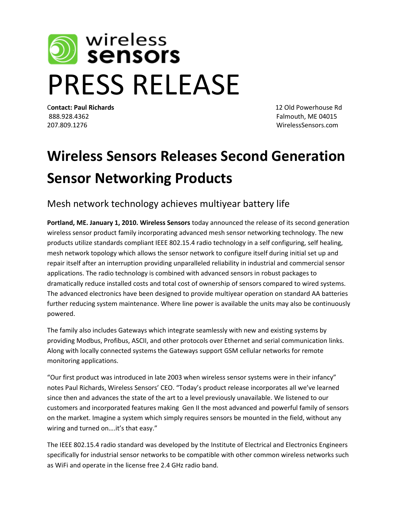

C**ontact: Paul Richards** 12 Old Powerhouse Rd 888.928.4362 Falmouth, ME 04015 207.809.1276 WirelessSensors.com

## **Wireless Sensors Releases Second Generation Sensor Networking Products**

Mesh network technology achieves multiyear battery life

**Portland, ME. January 1, 2010. Wireless Sensors** today announced the release of its second generation wireless sensor product family incorporating advanced mesh sensor networking technology. The new products utilize standards compliant IEEE 802.15.4 radio technology in a self configuring, self healing, mesh network topology which allows the sensor network to configure itself during initial set up and repair itself after an interruption providing unparalleled reliability in industrial and commercial sensor applications. The radio technology is combined with advanced sensors in robust packages to dramatically reduce installed costs and total cost of ownership of sensors compared to wired systems. The advanced electronics have been designed to provide multiyear operation on standard AA batteries further reducing system maintenance. Where line power is available the units may also be continuously powered.

The family also includes Gateways which integrate seamlessly with new and existing systems by providing Modbus, Profibus, ASCII, and other protocols over Ethernet and serial communication links. Along with locally connected systems the Gateways support GSM cellular networks for remote monitoring applications.

"Our first product was introduced in late 2003 when wireless sensor systems were in their infancy" notes Paul Richards, Wireless Sensors' CEO. "Today's product release incorporates all we've learned since then and advances the state of the art to a level previously unavailable. We listened to our customers and incorporated features making Gen II the most advanced and powerful family of sensors on the market. Imagine a system which simply requires sensors be mounted in the field, without any wiring and turned on....it's that easy."

The IEEE 802.15.4 radio standard was developed by the Institute of Electrical and Electronics Engineers specifically for industrial sensor networks to be compatible with other common wireless networks such as WiFi and operate in the license free 2.4 GHz radio band.